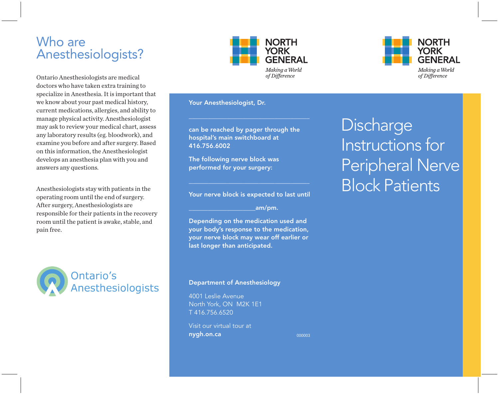## Who are Anesthesiologists?

Ontario Anesthesiologists are medical doctors who have taken extra training to specialize in Anesthesia. It is important that we know about your past medical history, current medications, allergies, and ability to manage physical activity. Anesthesiologist may ask to review your medical chart, assess any laboratory results (eg. bloodwork), and examine you before and after surgery. Based on this information, the Anesthesiologist develops an anesthesia plan with you and answers any questions.

Anesthesiologists stay with patients in the operating room until the end of surgery. After surgery, Anesthesiologists are responsible for their patients in the recovery room until the patient is awake, stable, and pain free.





Your Anesthesiologist, Dr.

can be reached by pager through the hospital's main switchboard at 416.756.6002

\_\_\_\_\_\_\_\_\_\_\_\_\_\_\_\_\_\_\_\_\_\_\_\_\_\_\_\_\_\_\_\_\_\_\_\_\_\_

The following nerve block was performed for your surgery:

Your nerve block is expected to last until

\_\_\_\_\_\_\_\_\_\_\_\_\_\_\_\_\_\_\_\_\_\_\_\_\_\_\_\_\_\_\_\_\_\_\_\_\_\_

 $_{\mathsf{a}}$ m/pm.

Depending on the medication used and your body's response to the medication, your nerve block may wear off earlier or last longer than anticipated.

### Department of Anesthesiology

4001 Leslie Avenue North York, ON M2K 1E1 T 416.756.6520

Visit our virtual tour at nygh.on.ca

000003



**Discharge** Instructions for Peripheral Nerve Block Patients